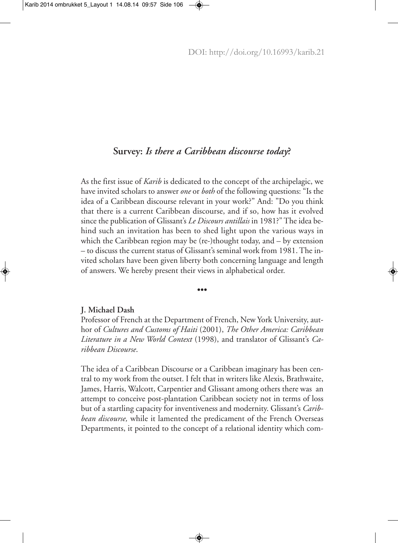# **Survey:** *Is there a Caribbean discourse today***?**

As the first issue of *Karib* is dedicated to the concept of the archipelagic, we have invited scholars to answer *one* or *both* of the following questions: "Is the idea of a Caribbean discourse relevant in your work?" And: "Do you think that there is a current Caribbean discourse, and if so, how has it evolved since the publication of Glissant's *Le Discours antillais* in 1981?"The idea behind such an invitation has been to shed light upon the various ways in which the Caribbean region may be (re-)thought today, and – by extension – to discuss the current status of Glissant's seminal work from 1981. The invited scholars have been given liberty both concerning language and length of answers. We hereby present their views in alphabetical order.

**•••**

# **J. Michael Dash**

Professor of French at the Department of French, New York University, author of *Cultures and Customs of Haiti* (2001), *The Other America: Caribbean Literature in a New World Context* (1998), and translator of Glissant's *Caribbean Discourse*.

The idea of a Caribbean Discourse or a Caribbean imaginary has been central to my work from the outset. I felt that in writers like Alexis, Brathwaite, James, Harris, Walcott, Carpentier and Glissant among others there was an attempt to conceive post-plantation Caribbean society not in terms of loss but of a startling capacity for inventiveness and modernity. Glissant's *Caribbean discourse,* while it lamented the predicament of the French Overseas Departments, it pointed to the concept of a relational identity which com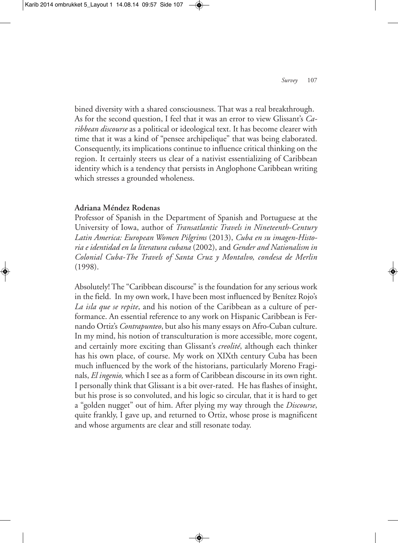bined diversity with a shared consciousness. That was a real breakthrough. As for the second question, I feel that it was an error to view Glissant's *Caribbean discourse* as a political or ideological text. It has become clearer with time that it was a kind of "pensee archipelique" that was being elaborated. Consequently, its implications continue to influence critical thinking on the region. It certainly steers us clear of a nativist essentializing of Caribbean identity which is a tendency that persists in Anglophone Caribbean writing which stresses a grounded wholeness.

### **Adriana Méndez Rodenas**

Professor of Spanish in the Department of Spanish and Portuguese at the University of Iowa, author of *Transatlantic Travels in Nineteenth-Century Latin America: European Women Pilgrims* (2013), *Cuba en su imagen-Historia e identidad en la literatura cubana* (2002), and *Gender and Nationalism in Colonial Cuba-The Travels of Santa Cruz y Montalvo, condesa de Merlin* (1998).

Absolutely!The "Caribbean discourse" is the foundation for any serious work in the field. In my own work, I have been most influenced by Benítez Rojo's *La isla que se repite*, and his notion of the Caribbean as a culture of performance. An essential reference to any work on Hispanic Caribbean is Fernando Ortiz's *Contrapunteo*, but also his many essays on Afro-Cuban culture. In my mind, his notion of transculturation is more accessible, more cogent, and certainly more exciting than Glissant's *creolité*, although each thinker has his own place, of course. My work on XIXth century Cuba has been much influenced by the work of the historians, particularly Moreno Fraginals, *El ingenio,* which I see as a form of Caribbean discourse in its own right. I personally think that Glissant is a bit over-rated. He has flashes of insight, but his prose is so convoluted, and his logic so circular, that it is hard to get a "golden nugget" out of him. After plying my way through the *Discourse*, quite frankly, I gave up, and returned to Ortiz, whose prose is magnificent and whose arguments are clear and still resonate today.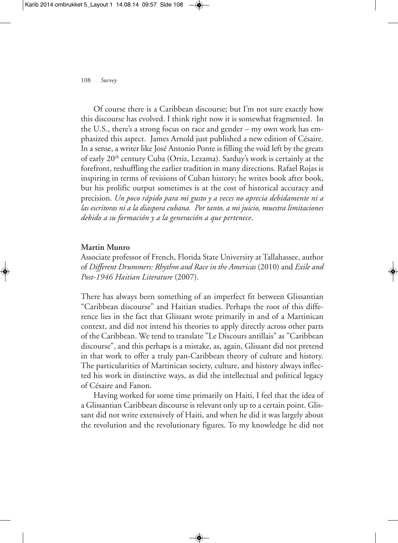Of course there is a Caribbean discourse; but I'm not sure exactly how this discourse has evolved. I think right now it is somewhat fragmented. In the U.S., there's a strong focus on race and gender – my own work has emphasized this aspect. James Arnold just published a new edition of Césaire. In a sense, a writer like José Antonio Ponte is filling the void left by the greats of early 20<sup>th</sup> century Cuba (Ortiz, Lezama). Sarduy's work is certainly at the forefront, reshuffling the earlier tradition in many directions. Rafael Rojas is inspiring in terms of revisions of Cuban history; he writes book after book, but his prolific output sometimes is at the cost of historical accuracy and precision. *Un poco rápido para mi gusto y a veces no aprecia debidamente ni a las escritoras ni a la diaspora cubana. Por tanto, a mi juicio, muestra limitaciones debido a su formación y a la generación a que pertenece*.

#### **Martin Munro**

Associate professor of French, Florida State University at Tallahassee, author of *Different Drummers: Rhythm and Race in the Americas* (2010) and *Exile and Post-1946 Haitian Literature* (2007).

There has always been something of an imperfect fit between Glissantian "Caribbean discourse" and Haitian studies. Perhaps the root of this difference lies in the fact that Glissant wrote primarily in and of a Martinican context, and did not intend his theories to apply directly across other parts of the Caribbean. We tend to translate "Le Discours antillais" as "Caribbean discourse", and this perhaps is a mistake, as, again, Glissant did not pretend in that work to offer a truly pan-Caribbean theory of culture and history. The particularities of Martinican society, culture, and history always inflected his work in distinctive ways, as did the intellectual and political legacy of Césaire and Fanon.

Having worked for some time primarily on Haiti, I feel that the idea of a Glissantian Caribbean discourse is relevant only up to a certain point. Glissant did not write extensively of Haiti, and when he did it was largely about the revolution and the revolutionary figures. To my knowledge he did not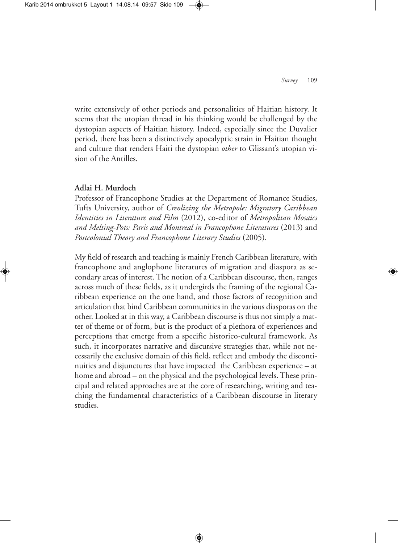write extensively of other periods and personalities of Haitian history. It seems that the utopian thread in his thinking would be challenged by the dystopian aspects of Haitian history. Indeed, especially since the Duvalier period, there has been a distinctively apocalyptic strain in Haitian thought and culture that renders Haiti the dystopian *other* to Glissant's utopian vision of the Antilles.

### **Adlai H. Murdoch**

Professor of Francophone Studies at the Department of Romance Studies, Tufts University, author of *Creolizing the Metropole: Migratory Caribbean Identities in Literature and Film* (2012), co-editor of *Metropolitan Mosaics and Melting-Pots: Paris and Montreal in Francophone Literatures* (2013) and *Postcolonial Theory and Francophone Literary Studies* (2005).

My field of research and teaching is mainly French Caribbean literature, with francophone and anglophone literatures of migration and diaspora as secondary areas of interest. The notion of a Caribbean discourse, then, ranges across much of these fields, as it undergirds the framing of the regional Caribbean experience on the one hand, and those factors of recognition and articulation that bind Caribbean communities in the various diasporas on the other. Looked at in this way, a Caribbean discourse is thus not simply a matter of theme or of form, but is the product of a plethora of experiences and perceptions that emerge from a specific historico-cultural framework. As such, it incorporates narrative and discursive strategies that, while not necessarily the exclusive domain of this field, reflect and embody the discontinuities and disjunctures that have impacted the Caribbean experience – at home and abroad – on the physical and the psychological levels. These principal and related approaches are at the core of researching, writing and teaching the fundamental characteristics of a Caribbean discourse in literary studies.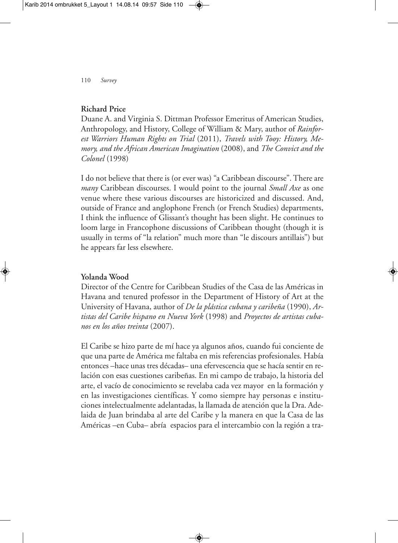# **Richard Price**

Duane A. and Virginia S. Dittman Professor Emeritus of American Studies, Anthropology, and History, College of William & Mary, author of *Rainforest Warriors Human Rights on Trial* (2011), *Travels with Tooy: History, Memory, and the African American Imagination* (2008), and *The Convict and the Colonel* (1998)

I do not believe that there is (or ever was) "a Caribbean discourse". There are *many* Caribbean discourses. I would point to the journal *Small Axe* as one venue where these various discourses are historicized and discussed. And, outside of France and anglophone French (or French Studies) departments, I think the influence of Glissant's thought has been slight. He continues to loom large in Francophone discussions of Caribbean thought (though it is usually in terms of "la relation" much more than "le discours antillais") but he appears far less elsewhere.

### **Yolanda Wood**

Director of the Centre for Caribbean Studies of the Casa de las Américas in Havana and tenured professor in the Department of History of Art at the University of Havana, author of *De la plástica cubana y caribeña* (1990), *Artistas del Caribe hispano en Nueva York* (1998) and *Proyectos de artistas cubanos en los años treinta* (2007).

El Caribe se hizo parte de mí hace ya algunos años, cuando fui conciente de que una parte de América me faltaba en mis referencias profesionales. Había entonces –hace unas tres décadas– una efervescencia que se hacía sentir en relación con esas cuestiones caribeñas. En mi campo de trabajo, la historia del arte, el vacío de conocimiento se revelaba cada vez mayor en la formación y en las investigaciones científicas. Y como siempre hay personas e instituciones intelectualmente adelantadas, la llamada de atención que la Dra. Adelaida de Juan brindaba al arte del Caribe y la manera en que la Casa de las Américas –en Cuba– abría espacios para el intercambio con la región a tra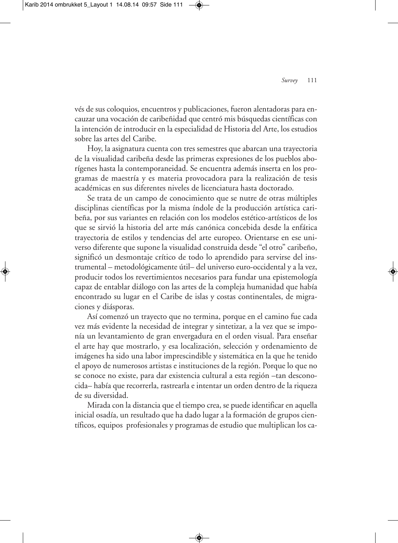vés de sus coloquios, encuentros y publicaciones, fueron alentadoras para encauzar una vocación de caribeñidad que centró mis búsquedas científicas con la intención de introducir en la especialidad de Historia del Arte, los estudios sobre las artes del Caribe.

Hoy, la asignatura cuenta con tres semestres que abarcan una trayectoria de la visualidad caribeña desde las primeras expresiones de los pueblos aborígenes hasta la contemporaneidad. Se encuentra además inserta en los programas de maestría y es materia provocadora para la realización de tesis académicas en sus diferentes niveles de licenciatura hasta doctorado.

Se trata de un campo de conocimiento que se nutre de otras múltiples disciplinas científicas por la misma índole de la producción artística caribeña, por sus variantes en relación con los modelos estético-artísticos de los que se sirvió la historia del arte más canónica concebida desde la enfática trayectoria de estilos y tendencias del arte europeo. Orientarse en ese universo diferente que supone la visualidad construida desde "el otro" caribeño, significó un desmontaje crítico de todo lo aprendido para servirse del instrumental – metodológicamente útil– del universo euro-occidental y a la vez, producir todos los revertimientos necesarios para fundar una epistemología capaz de entablar diálogo con las artes de la compleja humanidad que había encontrado su lugar en el Caribe de islas y costas continentales, de migraciones y diásporas.

Así comenzó un trayecto que no termina, porque en el camino fue cada vez más evidente la necesidad de integrar y sintetizar, a la vez que se imponía un levantamiento de gran envergadura en el orden visual. Para enseñar el arte hay que mostrarlo, y esa localización, selección y ordenamiento de imágenes ha sido una labor imprescindible y sistemática en la que he tenido el apoyo de numerosos artistas e instituciones de la región. Porque lo que no se conoce no existe, para dar existencia cultural a esta región –tan desconocida– había que recorrerla, rastrearla e intentar un orden dentro de la riqueza de su diversidad.

Mirada con la distancia que el tiempo crea, se puede identificar en aquella inicial osadía, un resultado que ha dado lugar a la formación de grupos científicos, equipos profesionales y programas de estudio que multiplican los ca-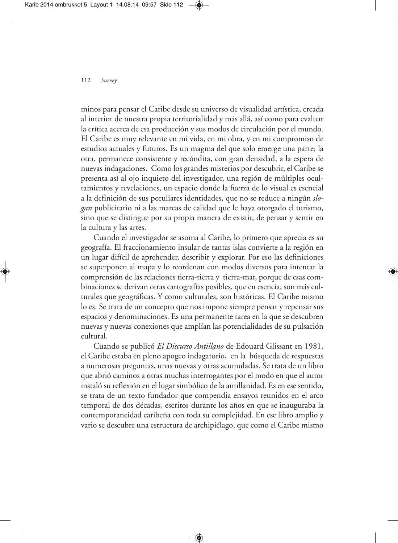#### 112 *Survey*

minos para pensar el Caribe desde su universo de visualidad artística, creada al interior de nuestra propia territorialidad y más allá, así como para evaluar la crítica acerca de esa producción y sus modos de circulación por el mundo. El Caribe es muy relevante en mi vida, en mi obra, y en mi compromiso de estudios actuales y futuros. Es un magma del que solo emerge una parte; la otra, permanece consistente y recóndita, con gran densidad, a la espera de nuevas indagaciones. Como los grandes misterios por descubrir, el Caribe se presenta así al ojo inquieto del investigador, una región de múltiples ocultamientos y revelaciones, un espacio donde la fuerza de lo visual es esencial a la definición de sus peculiares identidades, que no se reduce a ningún *slogan* publicitario ni a las marcas de calidad que le haya otorgado el turismo, sino que se distingue por su propia manera de existir, de pensar y sentir en la cultura y las artes.

Cuando el investigador se asoma al Caribe, lo primero que aprecia es su geografía. El fraccionamiento insular de tantas islas convierte a la región en un lugar difícil de aprehender, describir y explorar. Por eso las definiciones se superponen al mapa y lo reordenan con modos diversos para intentar la comprensión de las relaciones tierra-tierra y tierra-mar, porque de esas combinaciones se derivan otras cartografías posibles, que en esencia, son más culturales que geográficas. Y como culturales, son históricas. El Caribe mismo lo es. Se trata de un concepto que nos impone siempre pensar y repensar sus espacios y denominaciones. Es una permanente tarea en la que se descubren nuevas y nuevas conexiones que amplían las potencialidades de su pulsación cultural.

Cuando se publicó *El Discurso Antillano* de Edouard Glissant en 1981, el Caribe estaba en pleno apogeo indagatorio, en la búsqueda de respuestas a numerosas preguntas, unas nuevas y otras acumuladas. Se trata de un libro que abrió caminos a otras muchas interrogantes por el modo en que el autor instaló su reflexión en el lugar simbólico de la antillanidad. Es en ese sentido, se trata de un texto fundador que compendia ensayos reunidos en el arco temporal de dos décadas, escritos durante los años en que se inauguraba la contemporaneidad caribeña con toda su complejidad. En ese libro amplio y vario se descubre una estructura de archipiélago, que como el Caribe mismo